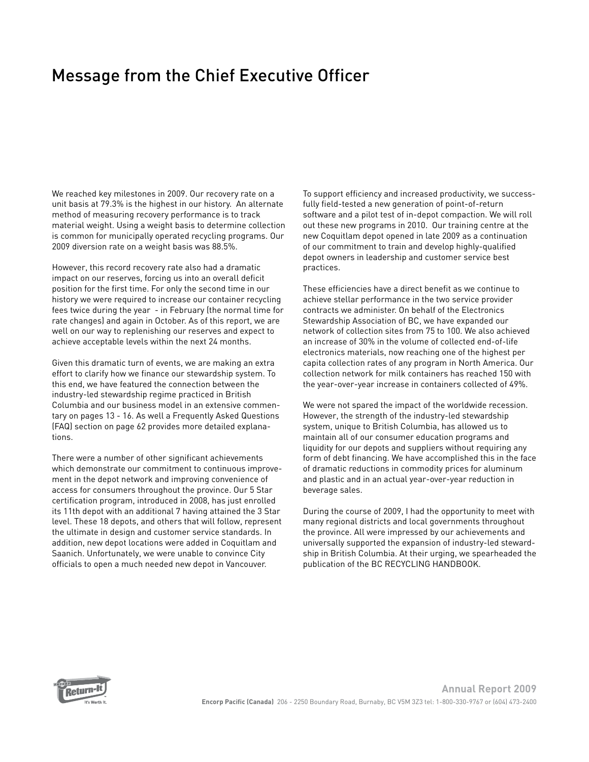## Message from the Chief Executive Officer

We reached key milestones in 2009. Our recovery rate on a unit basis at 79.3% is the highest in our history. An alternate method of measuring recovery performance is to track material weight. Using a weight basis to determine collection is common for municipally operated recycling programs. Our 2009 diversion rate on a weight basis was 88.5%.

However, this record recovery rate also had a dramatic impact on our reserves, forcing us into an overall deficit position for the first time. For only the second time in our history we were required to increase our container recycling fees twice during the year - in February (the normal time for rate changes) and again in October. As of this report, we are well on our way to replenishing our reserves and expect to achieve acceptable levels within the next 24 months.

Given this dramatic turn of events, we are making an extra effort to clarify how we finance our stewardship system. To this end, we have featured the connection between the industry-led stewardship regime practiced in British Columbia and our business model in an extensive commentary on pages 13 - 16. As well a Frequently Asked Questions (FAQ) section on page 62 provides more detailed explanations.

There were a number of other significant achievements which demonstrate our commitment to continuous improvement in the depot network and improving convenience of access for consumers throughout the province. Our 5 Star certification program, introduced in 2008, has just enrolled its 11th depot with an additional 7 having attained the 3 Star level. These 18 depots, and others that will follow, represent the ultimate in design and customer service standards. In addition, new depot locations were added in Coquitlam and Saanich. Unfortunately, we were unable to convince City officials to open a much needed new depot in Vancouver.

To support efficiency and increased productivity, we successfully field-tested a new generation of point-of-return software and a pilot test of in-depot compaction. We will roll out these new programs in 2010. Our training centre at the new Coquitlam depot opened in late 2009 as a continuation of our commitment to train and develop highly-qualified depot owners in leadership and customer service best practices.

These efficiencies have a direct benefit as we continue to achieve stellar performance in the two service provider contracts we administer. On behalf of the Electronics Stewardship Association of BC, we have expanded our network of collection sites from 75 to 100. We also achieved an increase of 30% in the volume of collected end-of-life electronics materials, now reaching one of the highest per capita collection rates of any program in North America. Our collection network for milk containers has reached 150 with the year-over-year increase in containers collected of 49%.

We were not spared the impact of the worldwide recession. However, the strength of the industry-led stewardship system, unique to British Columbia, has allowed us to maintain all of our consumer education programs and liquidity for our depots and suppliers without requiring any form of debt financing. We have accomplished this in the face of dramatic reductions in commodity prices for aluminum and plastic and in an actual year-over-year reduction in beverage sales.

During the course of 2009, I had the opportunity to meet with many regional districts and local governments throughout the province. All were impressed by our achievements and universally supported the expansion of industry-led stewardship in British Columbia. At their urging, we spearheaded the publication of the BC RECYCLING HANDBOOK.